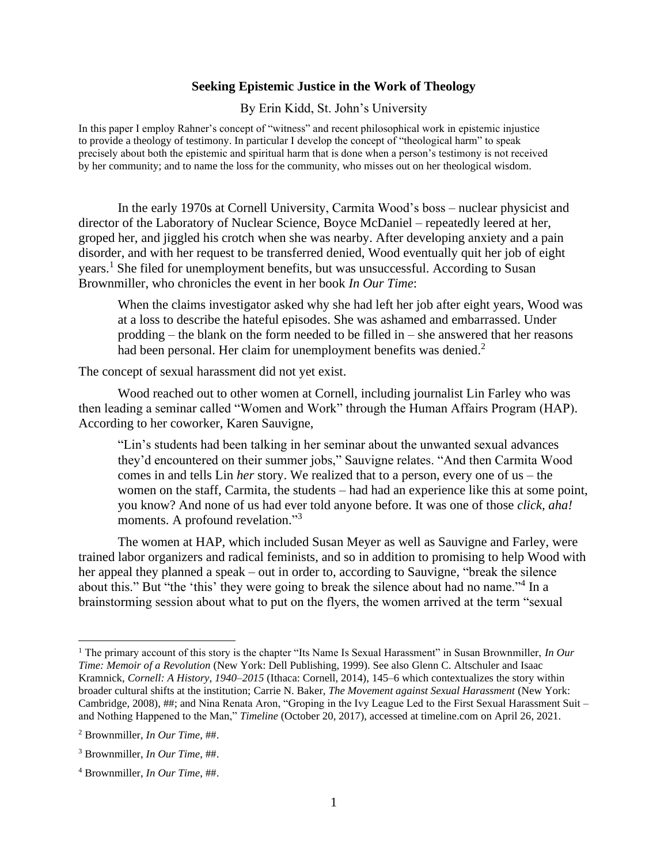## **Seeking Epistemic Justice in the Work of Theology**

By Erin Kidd, St. John's University

In this paper I employ Rahner's concept of "witness" and recent philosophical work in epistemic injustice to provide a theology of testimony. In particular I develop the concept of "theological harm" to speak precisely about both the epistemic and spiritual harm that is done when a person's testimony is not received by her community; and to name the loss for the community, who misses out on her theological wisdom.

In the early 1970s at Cornell University, Carmita Wood's boss – nuclear physicist and director of the Laboratory of Nuclear Science, Boyce McDaniel – repeatedly leered at her, groped her, and jiggled his crotch when she was nearby. After developing anxiety and a pain disorder, and with her request to be transferred denied, Wood eventually quit her job of eight years. <sup>1</sup> She filed for unemployment benefits, but was unsuccessful. According to Susan Brownmiller, who chronicles the event in her book *In Our Time*:

When the claims investigator asked why she had left her job after eight years, Wood was at a loss to describe the hateful episodes. She was ashamed and embarrassed. Under prodding – the blank on the form needed to be filled in – she answered that her reasons had been personal. Her claim for unemployment benefits was denied.<sup>2</sup>

The concept of sexual harassment did not yet exist.

Wood reached out to other women at Cornell, including journalist Lin Farley who was then leading a seminar called "Women and Work" through the Human Affairs Program (HAP). According to her coworker, Karen Sauvigne,

"Lin's students had been talking in her seminar about the unwanted sexual advances they'd encountered on their summer jobs," Sauvigne relates. "And then Carmita Wood comes in and tells Lin *her* story. We realized that to a person, every one of us – the women on the staff, Carmita, the students – had had an experience like this at some point, you know? And none of us had ever told anyone before. It was one of those *click, aha!*  moments. A profound revelation."<sup>3</sup>

The women at HAP, which included Susan Meyer as well as Sauvigne and Farley, were trained labor organizers and radical feminists, and so in addition to promising to help Wood with her appeal they planned a speak – out in order to, according to Sauvigne, "break the silence about this." But "the 'this' they were going to break the silence about had no name."<sup>4</sup> In a brainstorming session about what to put on the flyers, the women arrived at the term "sexual

<sup>1</sup> The primary account of this story is the chapter "Its Name Is Sexual Harassment" in Susan Brownmiller, *In Our Time: Memoir of a Revolution* (New York: Dell Publishing, 1999). See also Glenn C. Altschuler and Isaac Kramnick, *Cornell: A History, 1940–2015* (Ithaca: Cornell, 2014), 145–6 which contextualizes the story within broader cultural shifts at the institution; Carrie N. Baker, *The Movement against Sexual Harassment* (New York: Cambridge, 2008), ##; and Nina Renata Aron, "Groping in the Ivy League Led to the First Sexual Harassment Suit – and Nothing Happened to the Man," *Timeline* (October 20, 2017), accessed at timeline.com on April 26, 2021.

<sup>2</sup> Brownmiller, *In Our Time*, ##.

<sup>3</sup> Brownmiller, *In Our Time*, ##.

<sup>4</sup> Brownmiller, *In Our Time*, ##.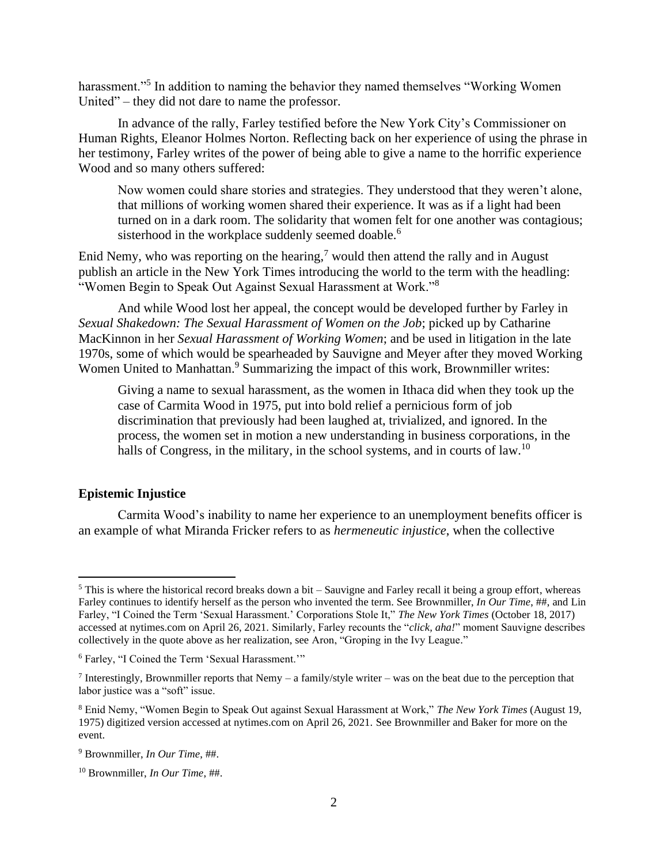harassment."<sup>5</sup> In addition to naming the behavior they named themselves "Working Women United" – they did not dare to name the professor.

In advance of the rally, Farley testified before the New York City's Commissioner on Human Rights, Eleanor Holmes Norton. Reflecting back on her experience of using the phrase in her testimony, Farley writes of the power of being able to give a name to the horrific experience Wood and so many others suffered:

Now women could share stories and strategies. They understood that they weren't alone, that millions of working women shared their experience. It was as if a light had been turned on in a dark room. The solidarity that women felt for one another was contagious; sisterhood in the workplace suddenly seemed doable.<sup>6</sup>

Enid Nemy, who was reporting on the hearing,<sup>7</sup> would then attend the rally and in August publish an article in the New York Times introducing the world to the term with the headling: "Women Begin to Speak Out Against Sexual Harassment at Work."<sup>8</sup>

And while Wood lost her appeal, the concept would be developed further by Farley in *Sexual Shakedown: The Sexual Harassment of Women on the Job*; picked up by Catharine MacKinnon in her *Sexual Harassment of Working Women*; and be used in litigation in the late 1970s, some of which would be spearheaded by Sauvigne and Meyer after they moved Working Women United to Manhattan.<sup>9</sup> Summarizing the impact of this work, Brownmiller writes:

Giving a name to sexual harassment, as the women in Ithaca did when they took up the case of Carmita Wood in 1975, put into bold relief a pernicious form of job discrimination that previously had been laughed at, trivialized, and ignored. In the process, the women set in motion a new understanding in business corporations, in the halls of Congress, in the military, in the school systems, and in courts of law.<sup>10</sup>

## **Epistemic Injustice**

Carmita Wood's inability to name her experience to an unemployment benefits officer is an example of what Miranda Fricker refers to as *hermeneutic injustice*, when the collective

 $5$  This is where the historical record breaks down a bit – Sauvigne and Farley recall it being a group effort, whereas Farley continues to identify herself as the person who invented the term. See Brownmiller, *In Our Time*, ##, and Lin Farley, "I Coined the Term 'Sexual Harassment.' Corporations Stole It," *The New York Times* (October 18, 2017) accessed at nytimes.com on April 26, 2021. Similarly, Farley recounts the "*click, aha!*" moment Sauvigne describes collectively in the quote above as her realization, see Aron, "Groping in the Ivy League."

<sup>6</sup> Farley, "I Coined the Term 'Sexual Harassment.'"

Interestingly, Brownmiller reports that Nemy – a family/style writer – was on the beat due to the perception that labor justice was a "soft" issue.

<sup>8</sup> Enid Nemy, "Women Begin to Speak Out against Sexual Harassment at Work," *The New York Times* (August 19, 1975) digitized version accessed at nytimes.com on April 26, 2021. See Brownmiller and Baker for more on the event.

<sup>9</sup> Brownmiller, *In Our Time*, ##.

<sup>10</sup> Brownmiller, *In Our Time*, ##.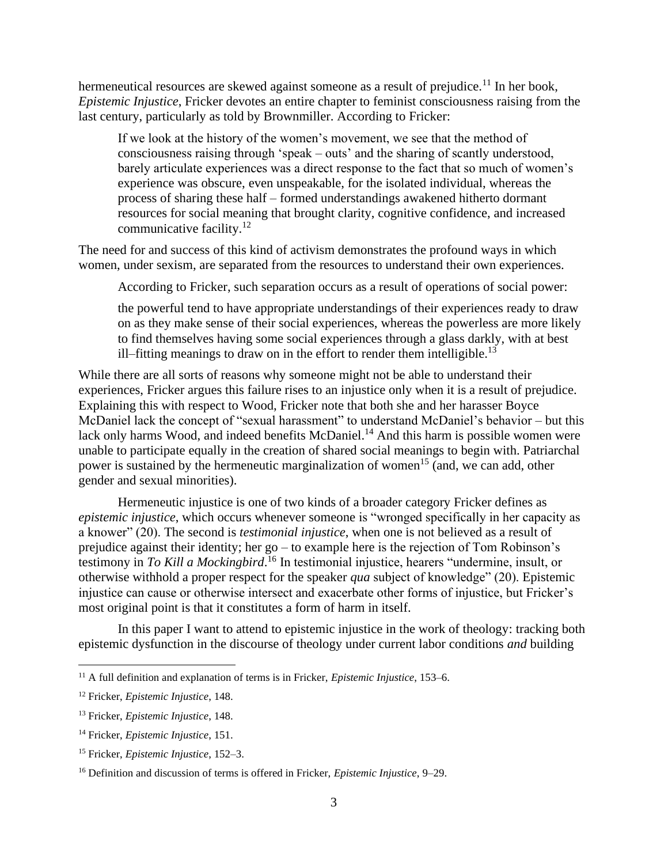hermeneutical resources are skewed against someone as a result of prejudice.<sup>11</sup> In her book, *Epistemic Injustice*, Fricker devotes an entire chapter to feminist consciousness raising from the last century, particularly as told by Brownmiller. According to Fricker:

If we look at the history of the women's movement, we see that the method of consciousness raising through 'speak – outs' and the sharing of scantly understood, barely articulate experiences was a direct response to the fact that so much of women's experience was obscure, even unspeakable, for the isolated individual, whereas the process of sharing these half – formed understandings awakened hitherto dormant resources for social meaning that brought clarity, cognitive confidence, and increased communicative facility.<sup>12</sup>

The need for and success of this kind of activism demonstrates the profound ways in which women, under sexism, are separated from the resources to understand their own experiences.

According to Fricker, such separation occurs as a result of operations of social power:

the powerful tend to have appropriate understandings of their experiences ready to draw on as they make sense of their social experiences, whereas the powerless are more likely to find themselves having some social experiences through a glass darkly, with at best ill–fitting meanings to draw on in the effort to render them intelligible.<sup>13</sup>

While there are all sorts of reasons why someone might not be able to understand their experiences, Fricker argues this failure rises to an injustice only when it is a result of prejudice. Explaining this with respect to Wood, Fricker note that both she and her harasser Boyce McDaniel lack the concept of "sexual harassment" to understand McDaniel's behavior – but this lack only harms Wood, and indeed benefits McDaniel.<sup>14</sup> And this harm is possible women were unable to participate equally in the creation of shared social meanings to begin with. Patriarchal power is sustained by the hermeneutic marginalization of women<sup>15</sup> (and, we can add, other gender and sexual minorities).

Hermeneutic injustice is one of two kinds of a broader category Fricker defines as *epistemic injustice*, which occurs whenever someone is "wronged specifically in her capacity as a knower" (20). The second is *testimonial injustice*, when one is not believed as a result of prejudice against their identity; her go – to example here is the rejection of Tom Robinson's testimony in *To Kill a Mockingbird*. <sup>16</sup> In testimonial injustice, hearers "undermine, insult, or otherwise withhold a proper respect for the speaker *qua* subject of knowledge" (20). Epistemic injustice can cause or otherwise intersect and exacerbate other forms of injustice, but Fricker's most original point is that it constitutes a form of harm in itself.

In this paper I want to attend to epistemic injustice in the work of theology: tracking both epistemic dysfunction in the discourse of theology under current labor conditions *and* building

<sup>11</sup> A full definition and explanation of terms is in Fricker, *Epistemic Injustice*, 153–6.

<sup>12</sup> Fricker, *Epistemic Injustice*, 148.

<sup>13</sup> Fricker, *Epistemic Injustice*, 148.

<sup>14</sup> Fricker, *Epistemic Injustice*, 151.

<sup>15</sup> Fricker, *Epistemic Injustice*, 152–3.

<sup>16</sup> Definition and discussion of terms is offered in Fricker, *Epistemic Injustice*, 9–29.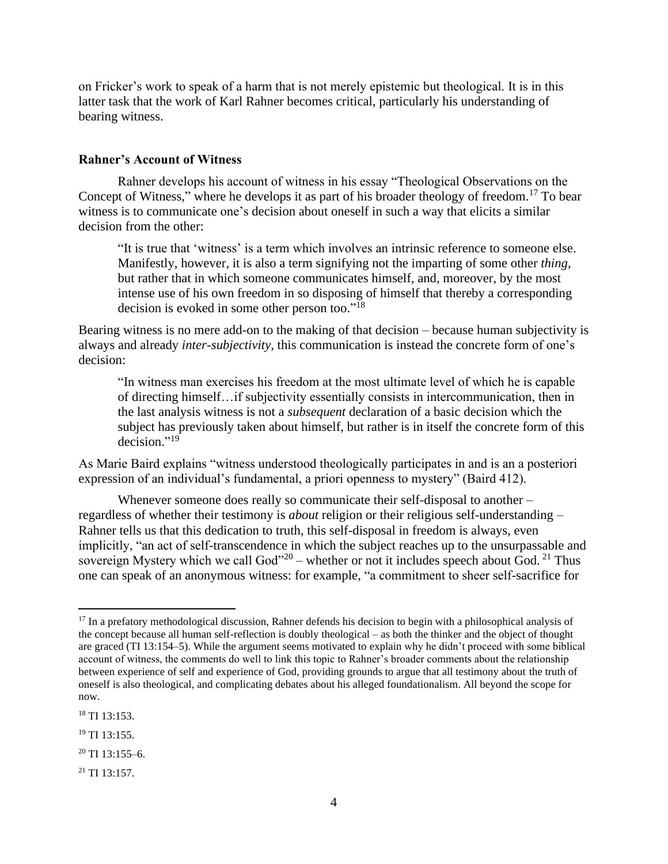on Fricker's work to speak of a harm that is not merely epistemic but theological. It is in this latter task that the work of Karl Rahner becomes critical, particularly his understanding of bearing witness.

## **Rahner's Account of Witness**

Rahner develops his account of witness in his essay "Theological Observations on the Concept of Witness," where he develops it as part of his broader theology of freedom.<sup>17</sup> To bear witness is to communicate one's decision about oneself in such a way that elicits a similar decision from the other:

"It is true that 'witness' is a term which involves an intrinsic reference to someone else. Manifestly, however, it is also a term signifying not the imparting of some other *thing*, but rather that in which someone communicates himself, and, moreover, by the most intense use of his own freedom in so disposing of himself that thereby a corresponding decision is evoked in some other person too."<sup>18</sup>

Bearing witness is no mere add-on to the making of that decision – because human subjectivity is always and already *inter-subjectivity*, this communication is instead the concrete form of one's decision:

"In witness man exercises his freedom at the most ultimate level of which he is capable of directing himself…if subjectivity essentially consists in intercommunication, then in the last analysis witness is not a *subsequent* declaration of a basic decision which the subject has previously taken about himself, but rather is in itself the concrete form of this decision."<sup>19</sup>

As Marie Baird explains "witness understood theologically participates in and is an a posteriori expression of an individual's fundamental, a priori openness to mystery" (Baird 412).

Whenever someone does really so communicate their self-disposal to another – regardless of whether their testimony is *about* religion or their religious self-understanding – Rahner tells us that this dedication to truth, this self-disposal in freedom is always, even implicitly, "an act of self-transcendence in which the subject reaches up to the unsurpassable and sovereign Mystery which we call  $God$ <sup>20</sup> – whether or not it includes speech about God.<sup>21</sup> Thus one can speak of an anonymous witness: for example, "a commitment to sheer self-sacrifice for

<sup>&</sup>lt;sup>17</sup> In a prefatory methodological discussion, Rahner defends his decision to begin with a philosophical analysis of the concept because all human self-reflection is doubly theological – as both the thinker and the object of thought are graced (TI 13:154–5). While the argument seems motivated to explain why he didn't proceed with some biblical account of witness, the comments do well to link this topic to Rahner's broader comments about the relationship between experience of self and experience of God, providing grounds to argue that all testimony about the truth of oneself is also theological, and complicating debates about his alleged foundationalism. All beyond the scope for now.

<sup>18</sup> TI 13:153.

<sup>&</sup>lt;sup>19</sup> TI 13:155.

 $20$  TI 13:155–6.

 $^{21}$  TI 13:157.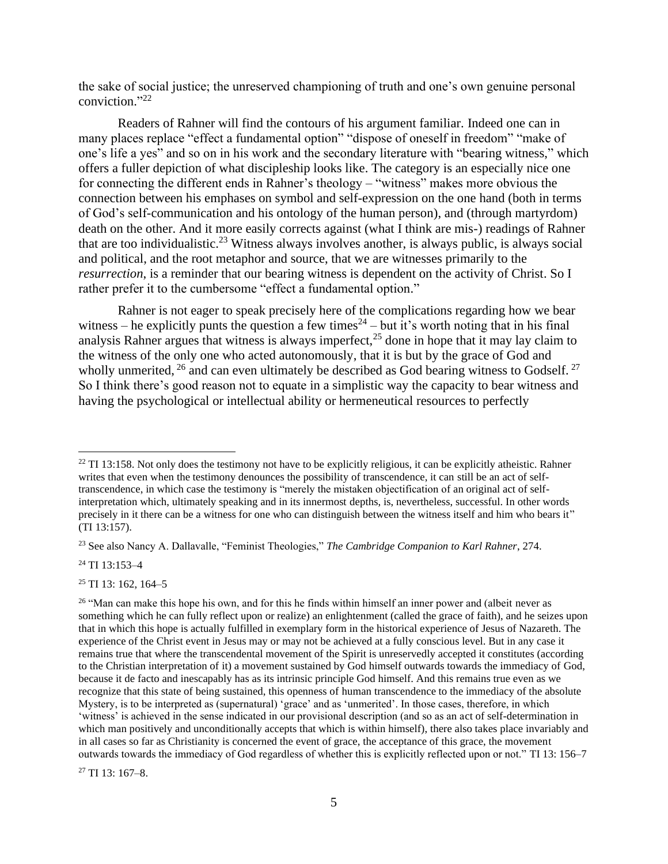the sake of social justice; the unreserved championing of truth and one's own genuine personal conviction." 22

Readers of Rahner will find the contours of his argument familiar. Indeed one can in many places replace "effect a fundamental option" "dispose of oneself in freedom" "make of one's life a yes" and so on in his work and the secondary literature with "bearing witness," which offers a fuller depiction of what discipleship looks like. The category is an especially nice one for connecting the different ends in Rahner's theology – "witness" makes more obvious the connection between his emphases on symbol and self-expression on the one hand (both in terms of God's self-communication and his ontology of the human person), and (through martyrdom) death on the other. And it more easily corrects against (what I think are mis-) readings of Rahner that are too individualistic.<sup>23</sup> Witness always involves another, is always public, is always social and political, and the root metaphor and source, that we are witnesses primarily to the *resurrection*, is a reminder that our bearing witness is dependent on the activity of Christ. So I rather prefer it to the cumbersome "effect a fundamental option."

Rahner is not eager to speak precisely here of the complications regarding how we bear witness – he explicitly punts the question a few times<sup>24</sup> – but it's worth noting that in his final analysis Rahner argues that witness is always imperfect,<sup>25</sup> done in hope that it may lay claim to the witness of the only one who acted autonomously, that it is but by the grace of God and wholly unmerited,  $^{26}$  and can even ultimately be described as God bearing witness to Godself.  $^{27}$ So I think there's good reason not to equate in a simplistic way the capacity to bear witness and having the psychological or intellectual ability or hermeneutical resources to perfectly

<sup>24</sup> TI 13:153–4

<sup>25</sup> TI 13: 162, 164–5

 $^{22}$  TI 13:158. Not only does the testimony not have to be explicitly religious, it can be explicitly atheistic. Rahner writes that even when the testimony denounces the possibility of transcendence, it can still be an act of selftranscendence, in which case the testimony is "merely the mistaken objectification of an original act of selfinterpretation which, ultimately speaking and in its innermost depths, is, nevertheless, successful. In other words precisely in it there can be a witness for one who can distinguish between the witness itself and him who bears it" (TI 13:157).

<sup>23</sup> See also Nancy A. Dallavalle, "Feminist Theologies," *The Cambridge Companion to Karl Rahner*, 274.

<sup>&</sup>lt;sup>26</sup> "Man can make this hope his own, and for this he finds within himself an inner power and (albeit never as something which he can fully reflect upon or realize) an enlightenment (called the grace of faith), and he seizes upon that in which this hope is actually fulfilled in exemplary form in the historical experience of Jesus of Nazareth. The experience of the Christ event in Jesus may or may not be achieved at a fully conscious level. But in any case it remains true that where the transcendental movement of the Spirit is unreservedly accepted it constitutes (according to the Christian interpretation of it) a movement sustained by God himself outwards towards the immediacy of God, because it de facto and inescapably has as its intrinsic principle God himself. And this remains true even as we recognize that this state of being sustained, this openness of human transcendence to the immediacy of the absolute Mystery, is to be interpreted as (supernatural) 'grace' and as 'unmerited'. In those cases, therefore, in which 'witness' is achieved in the sense indicated in our provisional description (and so as an act of self-determination in which man positively and unconditionally accepts that which is within himself), there also takes place invariably and in all cases so far as Christianity is concerned the event of grace, the acceptance of this grace, the movement outwards towards the immediacy of God regardless of whether this is explicitly reflected upon or not." TI 13: 156–7

 $27$  TI 13: 167-8.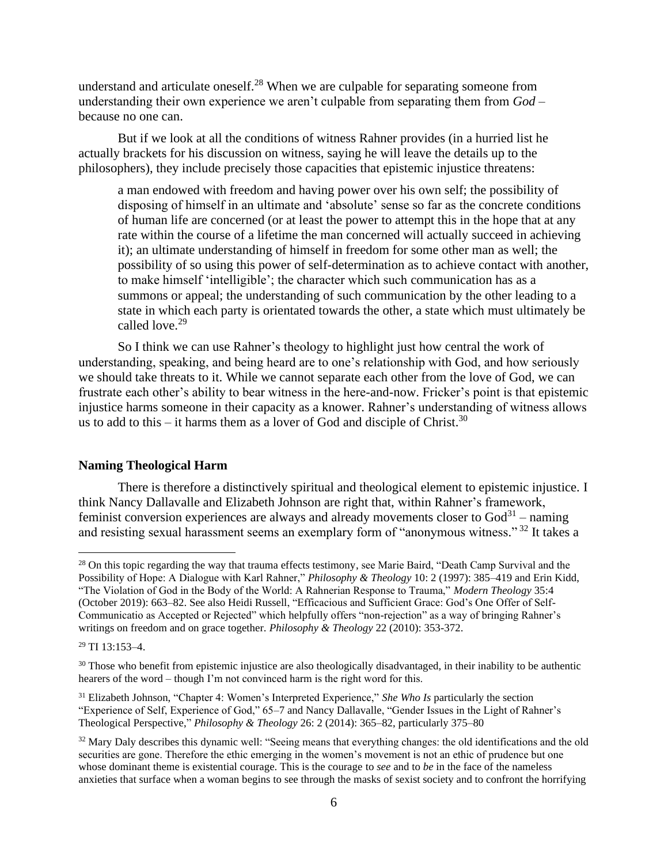understand and articulate oneself.<sup>28</sup> When we are culpable for separating someone from understanding their own experience we aren't culpable from separating them from *God* – because no one can.

But if we look at all the conditions of witness Rahner provides (in a hurried list he actually brackets for his discussion on witness, saying he will leave the details up to the philosophers), they include precisely those capacities that epistemic injustice threatens:

a man endowed with freedom and having power over his own self; the possibility of disposing of himself in an ultimate and 'absolute' sense so far as the concrete conditions of human life are concerned (or at least the power to attempt this in the hope that at any rate within the course of a lifetime the man concerned will actually succeed in achieving it); an ultimate understanding of himself in freedom for some other man as well; the possibility of so using this power of self-determination as to achieve contact with another, to make himself 'intelligible'; the character which such communication has as a summons or appeal; the understanding of such communication by the other leading to a state in which each party is orientated towards the other, a state which must ultimately be called love.<sup>29</sup>

So I think we can use Rahner's theology to highlight just how central the work of understanding, speaking, and being heard are to one's relationship with God, and how seriously we should take threats to it. While we cannot separate each other from the love of God, we can frustrate each other's ability to bear witness in the here-and-now. Fricker's point is that epistemic injustice harms someone in their capacity as a knower. Rahner's understanding of witness allows us to add to this – it harms them as a lover of God and disciple of Christ.<sup>30</sup>

## **Naming Theological Harm**

There is therefore a distinctively spiritual and theological element to epistemic injustice. I think Nancy Dallavalle and Elizabeth Johnson are right that, within Rahner's framework, feminist conversion experiences are always and already movements closer to  $God^{31}$  – naming and resisting sexual harassment seems an exemplary form of "anonymous witness."<sup>32</sup> It takes a

<sup>&</sup>lt;sup>28</sup> On this topic regarding the way that trauma effects testimony, see Marie Baird, "Death Camp Survival and the Possibility of Hope: A Dialogue with Karl Rahner," *Philosophy & Theology* 10: 2 (1997): 385–419 and Erin Kidd, "The Violation of God in the Body of the World: A Rahnerian Response to Trauma," *Modern Theology* 35:4 (October 2019): 663–82. See also Heidi Russell, "Efficacious and Sufficient Grace: God's One Offer of Self-Communicatio as Accepted or Rejected" which helpfully offers "non-rejection" as a way of bringing Rahner's writings on freedom and on grace together. *Philosophy & Theology* 22 (2010): 353-372.

 $29$  TI 13:153-4.

<sup>&</sup>lt;sup>30</sup> Those who benefit from epistemic injustice are also theologically disadvantaged, in their inability to be authentic hearers of the word – though I'm not convinced harm is the right word for this.

<sup>31</sup> Elizabeth Johnson, "Chapter 4: Women's Interpreted Experience," *She Who Is* particularly the section "Experience of Self, Experience of God," 65–7 and Nancy Dallavalle, "Gender Issues in the Light of Rahner's Theological Perspective," *Philosophy & Theology* 26: 2 (2014): 365–82, particularly 375–80

<sup>&</sup>lt;sup>32</sup> Mary Daly describes this dynamic well: "Seeing means that everything changes: the old identifications and the old securities are gone. Therefore the ethic emerging in the women's movement is not an ethic of prudence but one whose dominant theme is existential courage. This is the courage to *see* and to *be* in the face of the nameless anxieties that surface when a woman begins to see through the masks of sexist society and to confront the horrifying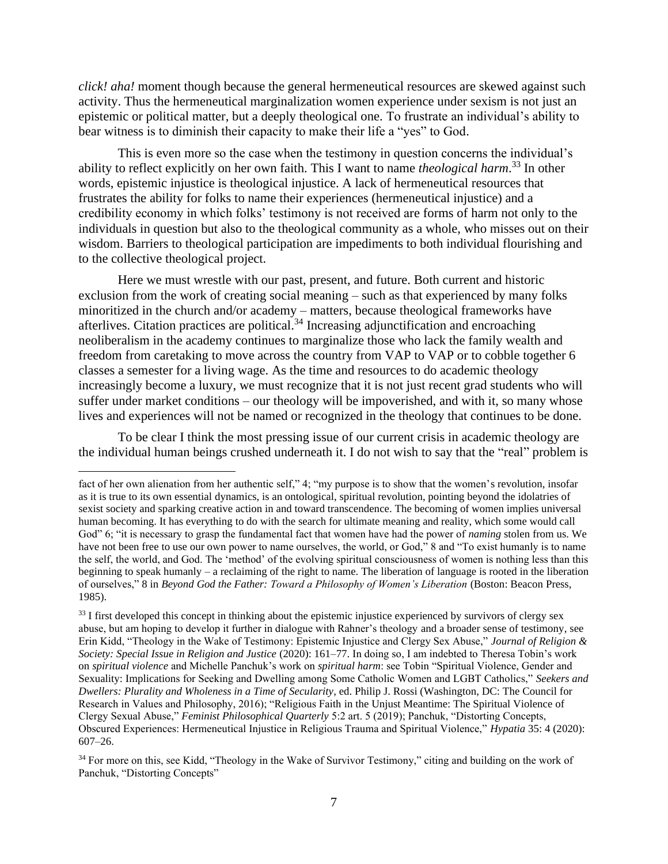*click! aha!* moment though because the general hermeneutical resources are skewed against such activity. Thus the hermeneutical marginalization women experience under sexism is not just an epistemic or political matter, but a deeply theological one. To frustrate an individual's ability to bear witness is to diminish their capacity to make their life a "yes" to God.

This is even more so the case when the testimony in question concerns the individual's ability to reflect explicitly on her own faith. This I want to name *theological harm*. <sup>33</sup> In other words, epistemic injustice is theological injustice. A lack of hermeneutical resources that frustrates the ability for folks to name their experiences (hermeneutical injustice) and a credibility economy in which folks' testimony is not received are forms of harm not only to the individuals in question but also to the theological community as a whole, who misses out on their wisdom. Barriers to theological participation are impediments to both individual flourishing and to the collective theological project.

Here we must wrestle with our past, present, and future. Both current and historic exclusion from the work of creating social meaning – such as that experienced by many folks minoritized in the church and/or academy – matters, because theological frameworks have afterlives. Citation practices are political.<sup>34</sup> Increasing adjunctification and encroaching neoliberalism in the academy continues to marginalize those who lack the family wealth and freedom from caretaking to move across the country from VAP to VAP or to cobble together 6 classes a semester for a living wage. As the time and resources to do academic theology increasingly become a luxury, we must recognize that it is not just recent grad students who will suffer under market conditions – our theology will be impoverished, and with it, so many whose lives and experiences will not be named or recognized in the theology that continues to be done.

To be clear I think the most pressing issue of our current crisis in academic theology are the individual human beings crushed underneath it. I do not wish to say that the "real" problem is

fact of her own alienation from her authentic self," 4; "my purpose is to show that the women's revolution, insofar as it is true to its own essential dynamics, is an ontological, spiritual revolution, pointing beyond the idolatries of sexist society and sparking creative action in and toward transcendence. The becoming of women implies universal human becoming. It has everything to do with the search for ultimate meaning and reality, which some would call God" 6; "it is necessary to grasp the fundamental fact that women have had the power of *naming* stolen from us. We have not been free to use our own power to name ourselves, the world, or God," 8 and "To exist humanly is to name the self, the world, and God. The 'method' of the evolving spiritual consciousness of women is nothing less than this beginning to speak humanly – a reclaiming of the right to name. The liberation of language is rooted in the liberation of ourselves," 8 in *Beyond God the Father: Toward a Philosophy of Women's Liberation* (Boston: Beacon Press, 1985).

<sup>&</sup>lt;sup>33</sup> I first developed this concept in thinking about the epistemic injustice experienced by survivors of clergy sex abuse, but am hoping to develop it further in dialogue with Rahner's theology and a broader sense of testimony, see Erin Kidd, "Theology in the Wake of Testimony: Epistemic Injustice and Clergy Sex Abuse," *Journal of Religion & Society: Special Issue in Religion and Justice* (2020): 161–77. In doing so, I am indebted to Theresa Tobin's work on *spiritual violence* and Michelle Panchuk's work on *spiritual harm*: see Tobin "Spiritual Violence, Gender and Sexuality: Implications for Seeking and Dwelling among Some Catholic Women and LGBT Catholics," *Seekers and Dwellers: Plurality and Wholeness in a Time of Secularity*, ed. Philip J. Rossi (Washington, DC: The Council for Research in Values and Philosophy, 2016); "Religious Faith in the Unjust Meantime: The Spiritual Violence of Clergy Sexual Abuse," *Feminist Philosophical Quarterly* 5:2 art. 5 (2019); Panchuk, "Distorting Concepts, Obscured Experiences: Hermeneutical Injustice in Religious Trauma and Spiritual Violence," *Hypatia* 35: 4 (2020): 607–26.

<sup>&</sup>lt;sup>34</sup> For more on this, see Kidd, "Theology in the Wake of Survivor Testimony," citing and building on the work of Panchuk, "Distorting Concepts"